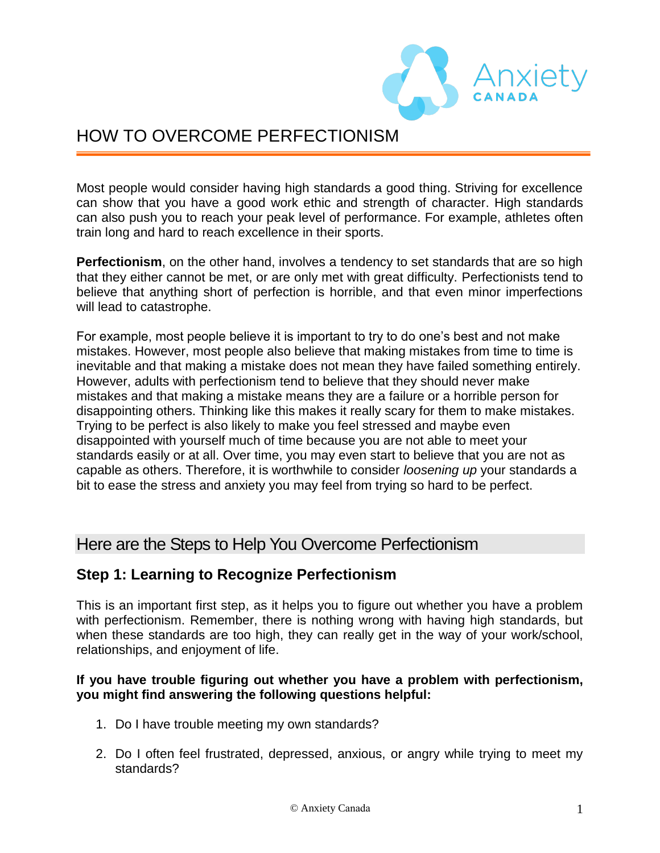

# HOW TO OVERCOME PERFECTIONISM

Most people would consider having high standards a good thing. Striving for excellence can show that you have a good work ethic and strength of character. High standards can also push you to reach your peak level of performance. For example, athletes often train long and hard to reach excellence in their sports.

**Perfectionism**, on the other hand, involves a tendency to set standards that are so high that they either cannot be met, or are only met with great difficulty. Perfectionists tend to believe that anything short of perfection is horrible, and that even minor imperfections will lead to catastrophe.

For example, most people believe it is important to try to do one's best and not make mistakes. However, most people also believe that making mistakes from time to time is inevitable and that making a mistake does not mean they have failed something entirely. However, adults with perfectionism tend to believe that they should never make mistakes and that making a mistake means they are a failure or a horrible person for disappointing others. Thinking like this makes it really scary for them to make mistakes. Trying to be perfect is also likely to make you feel stressed and maybe even disappointed with yourself much of time because you are not able to meet your standards easily or at all. Over time, you may even start to believe that you are not as capable as others. Therefore, it is worthwhile to consider *loosening up* your standards a bit to ease the stress and anxiety you may feel from trying so hard to be perfect.

# Here are the Steps to Help You Overcome Perfectionism

### **Step 1: Learning to Recognize Perfectionism**

This is an important first step, as it helps you to figure out whether you have a problem with perfectionism. Remember, there is nothing wrong with having high standards, but when these standards are too high, they can really get in the way of your work/school, relationships, and enjoyment of life.

#### **If you have trouble figuring out whether you have a problem with perfectionism, you might find answering the following questions helpful:**

- 1. Do I have trouble meeting my own standards?
- 2. Do I often feel frustrated, depressed, anxious, or angry while trying to meet my standards?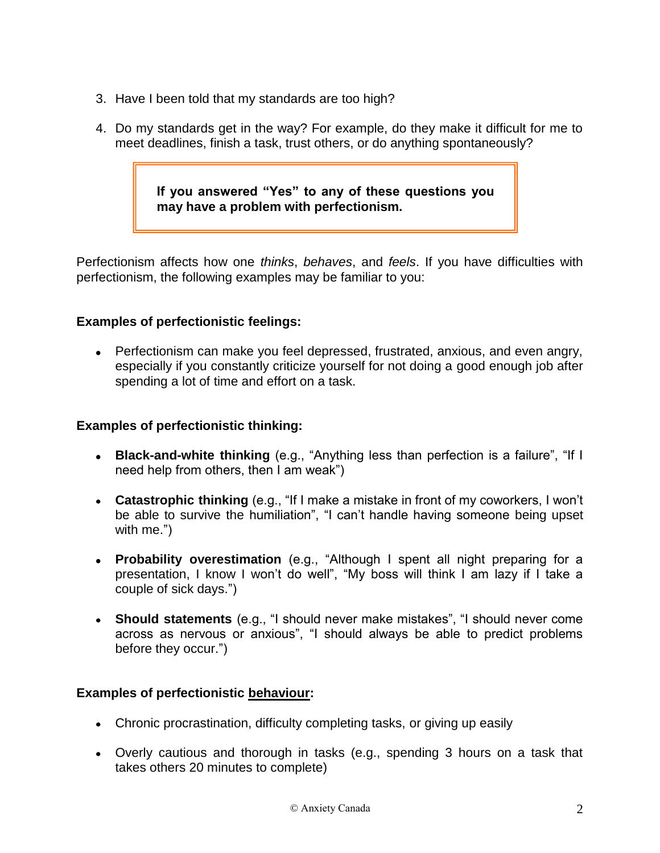- 3. Have I been told that my standards are too high?
- 4. Do my standards get in the way? For example, do they make it difficult for me to meet deadlines, finish a task, trust others, or do anything spontaneously?

**If you answered "Yes" to any of these questions you may have a problem with perfectionism.**

Perfectionism affects how one *thinks*, *behaves*, and *feels*. If you have difficulties with perfectionism, the following examples may be familiar to you:

### **Examples of perfectionistic feelings:**

Perfectionism can make you feel depressed, frustrated, anxious, and even angry, especially if you constantly criticize yourself for not doing a good enough job after spending a lot of time and effort on a task.

#### **Examples of perfectionistic thinking:**

- **Black-and-white thinking** (e.g., "Anything less than perfection is a failure", "If I need help from others, then I am weak")
- **Catastrophic thinking** (e.g., "If I make a mistake in front of my coworkers, I won't be able to survive the humiliation", "I can't handle having someone being upset with me.")
- **Probability overestimation** (e.g., "Although I spent all night preparing for a presentation, I know I won't do well", "My boss will think I am lazy if I take a couple of sick days.")
- **Should statements** (e.g., "I should never make mistakes", "I should never come across as nervous or anxious", "I should always be able to predict problems before they occur.")

#### **Examples of perfectionistic behaviour:**

- Chronic procrastination, difficulty completing tasks, or giving up easily
- Overly cautious and thorough in tasks (e.g., spending 3 hours on a task that takes others 20 minutes to complete)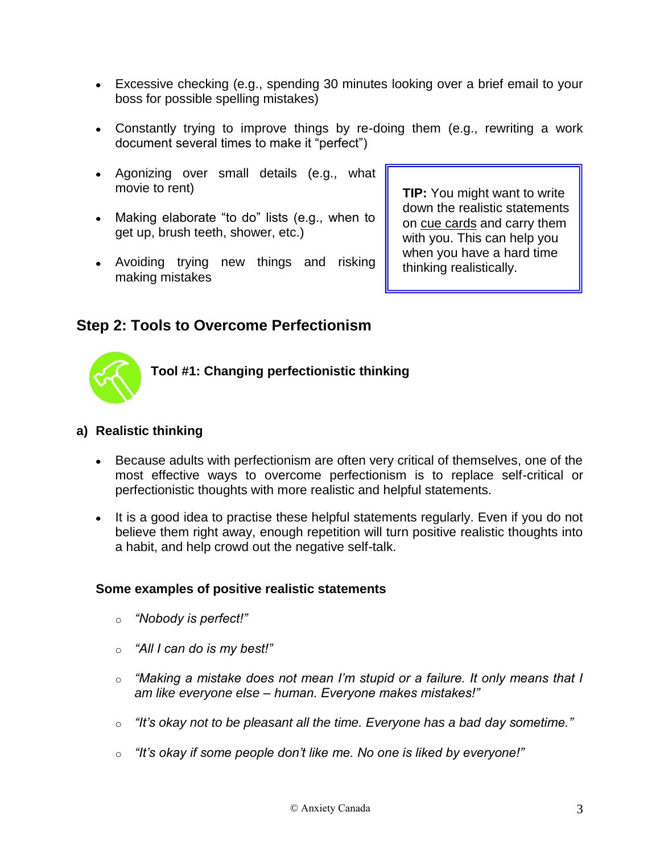- Excessive checking (e.g., spending 30 minutes looking over a brief email to your boss for possible spelling mistakes)
- Constantly trying to improve things by re-doing them (e.g., rewriting a work document several times to make it "perfect")
- Agonizing over small details (e.g., what movie to rent)
- Making elaborate "to do" lists (e.g., when to get up, brush teeth, shower, etc.)
- Avoiding trying new things and risking making mistakes

**TIP:** You might want to write down the realistic statements on cue cards and carry them with you. This can help you when you have a hard time thinking realistically.

# **Step 2: Tools to Overcome Perfectionism**



**Tool #1: Changing perfectionistic thinking**

#### **a) Realistic thinking**

- Because adults with perfectionism are often very critical of themselves, one of the most effective ways to overcome perfectionism is to replace self-critical or perfectionistic thoughts with more realistic and helpful statements.
- It is a good idea to practise these helpful statements regularly. Even if you do not believe them right away, enough repetition will turn positive realistic thoughts into a habit, and help crowd out the negative self-talk.

#### **Some examples of positive realistic statements**

- o *"Nobody is perfect!"*
- o *"All I can do is my best!"*
- o *"Making a mistake does not mean I'm stupid or a failure. It only means that I am like everyone else – human. Everyone makes mistakes!"*
- o *"It's okay not to be pleasant all the time. Everyone has a bad day sometime."*
- o *"It's okay if some people don't like me. No one is liked by everyone!"*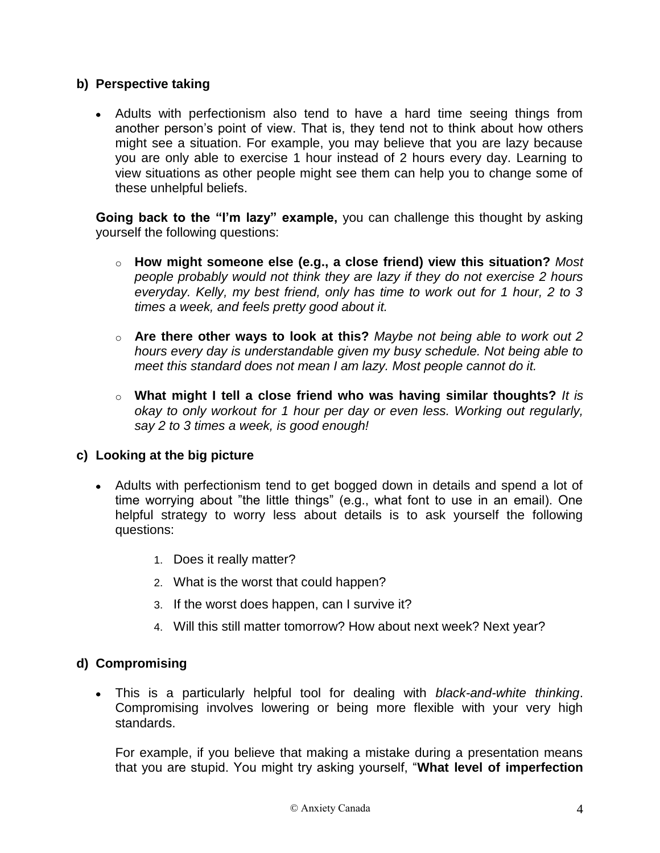### **b) Perspective taking**

Adults with perfectionism also tend to have a hard time seeing things from another person's point of view. That is, they tend not to think about how others might see a situation. For example, you may believe that you are lazy because you are only able to exercise 1 hour instead of 2 hours every day. Learning to view situations as other people might see them can help you to change some of these unhelpful beliefs.

**Going back to the "I'm lazy" example,** you can challenge this thought by asking yourself the following questions:

- o **How might someone else (e.g., a close friend) view this situation?** *Most people probably would not think they are lazy if they do not exercise 2 hours everyday. Kelly, my best friend, only has time to work out for 1 hour, 2 to 3 times a week, and feels pretty good about it.*
- o **Are there other ways to look at this?** *Maybe not being able to work out 2 hours every day is understandable given my busy schedule. Not being able to meet this standard does not mean I am lazy. Most people cannot do it.*
- o **What might I tell a close friend who was having similar thoughts?** *It is okay to only workout for 1 hour per day or even less. Working out regularly, say 2 to 3 times a week, is good enough!*

#### **c) Looking at the big picture**

- Adults with perfectionism tend to get bogged down in details and spend a lot of time worrying about "the little things" (e.g., what font to use in an email). One helpful strategy to worry less about details is to ask yourself the following questions:
	- 1. Does it really matter?
	- 2. What is the worst that could happen?
	- 3. If the worst does happen, can I survive it?
	- 4. Will this still matter tomorrow? How about next week? Next year?

### **d) Compromising**

This is a particularly helpful tool for dealing with *black-and-white thinking*. Compromising involves lowering or being more flexible with your very high standards.

For example, if you believe that making a mistake during a presentation means that you are stupid. You might try asking yourself, "**What level of imperfection**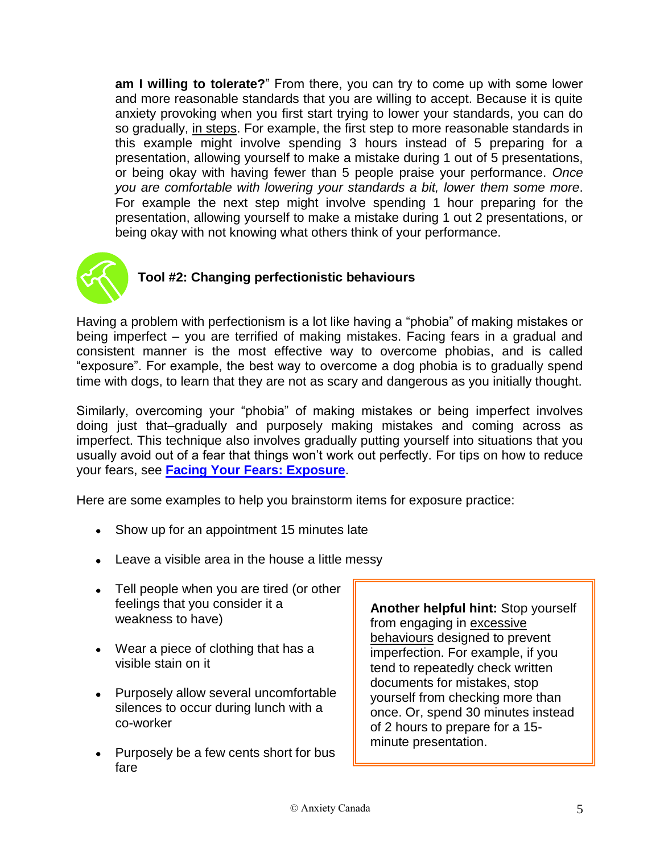**am I willing to tolerate?**" From there, you can try to come up with some lower and more reasonable standards that you are willing to accept. Because it is quite anxiety provoking when you first start trying to lower your standards, you can do so gradually, in steps. For example, the first step to more reasonable standards in this example might involve spending 3 hours instead of 5 preparing for a presentation, allowing yourself to make a mistake during 1 out of 5 presentations, or being okay with having fewer than 5 people praise your performance. *Once you are comfortable with lowering your standards a bit, lower them some more*. For example the next step might involve spending 1 hour preparing for the presentation, allowing yourself to make a mistake during 1 out 2 presentations, or being okay with not knowing what others think of your performance.



# **Tool #2: Changing perfectionistic behaviours**

Having a problem with perfectionism is a lot like having a "phobia" of making mistakes or being imperfect – you are terrified of making mistakes. Facing fears in a gradual and consistent manner is the most effective way to overcome phobias, and is called "exposure". For example, the best way to overcome a dog phobia is to gradually spend time with dogs, to learn that they are not as scary and dangerous as you initially thought.

Similarly, overcoming your "phobia" of making mistakes or being imperfect involves doing just that–gradually and purposely making mistakes and coming across as imperfect. This technique also involves gradually putting yourself into situations that you usually avoid out of a fear that things won't work out perfectly. For tips on how to reduce your fears, see **[Facing Your Fears: Exposure](https://www.anxietycanada.com/sites/default/files/FacingFears_Exposure.pdf)**.

Here are some examples to help you brainstorm items for exposure practice:

- Show up for an appointment 15 minutes late
- Leave a visible area in the house a little messy
- Tell people when you are tired (or other feelings that you consider it a weakness to have)
- Wear a piece of clothing that has a visible stain on it
- Purposely allow several uncomfortable silences to occur during lunch with a co-worker
- Purposely be a few cents short for bus fare

**Another helpful hint:** Stop yourself from engaging in excessive behaviours designed to prevent imperfection. For example, if you tend to repeatedly check written documents for mistakes, stop yourself from checking more than once. Or, spend 30 minutes instead of 2 hours to prepare for a 15 minute presentation.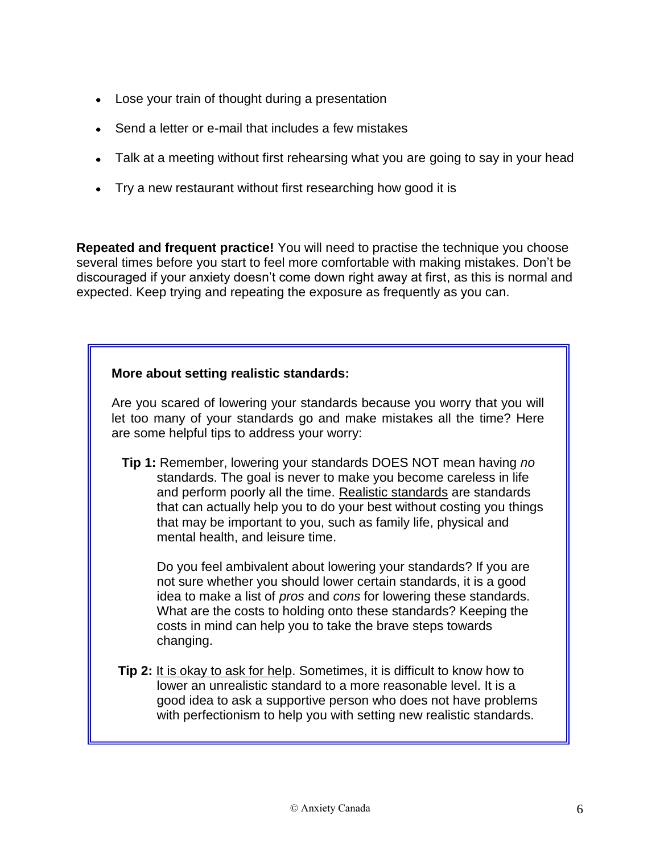- Lose your train of thought during a presentation
- Send a letter or e-mail that includes a few mistakes
- Talk at a meeting without first rehearsing what you are going to say in your head
- Try a new restaurant without first researching how good it is

**Repeated and frequent practice!** You will need to practise the technique you choose several times before you start to feel more comfortable with making mistakes. Don't be discouraged if your anxiety doesn't come down right away at first, as this is normal and expected. Keep trying and repeating the exposure as frequently as you can.

#### **More about setting realistic standards:**

Are you scared of lowering your standards because you worry that you will let too many of your standards go and make mistakes all the time? Here are some helpful tips to address your worry:

**Tip 1:** Remember, lowering your standards DOES NOT mean having *no* standards. The goal is never to make you become careless in life and perform poorly all the time. Realistic standards are standards that can actually help you to do your best without costing you things that may be important to you, such as family life, physical and mental health, and leisure time.

Do you feel ambivalent about lowering your standards? If you are not sure whether you should lower certain standards, it is a good idea to make a list of *pros* and *cons* for lowering these standards. What are the costs to holding onto these standards? Keeping the costs in mind can help you to take the brave steps towards changing.

**Tip 2:** It is okay to ask for help. Sometimes, it is difficult to know how to lower an unrealistic standard to a more reasonable level. It is a good idea to ask a supportive person who does not have problems with perfectionism to help you with setting new realistic standards.